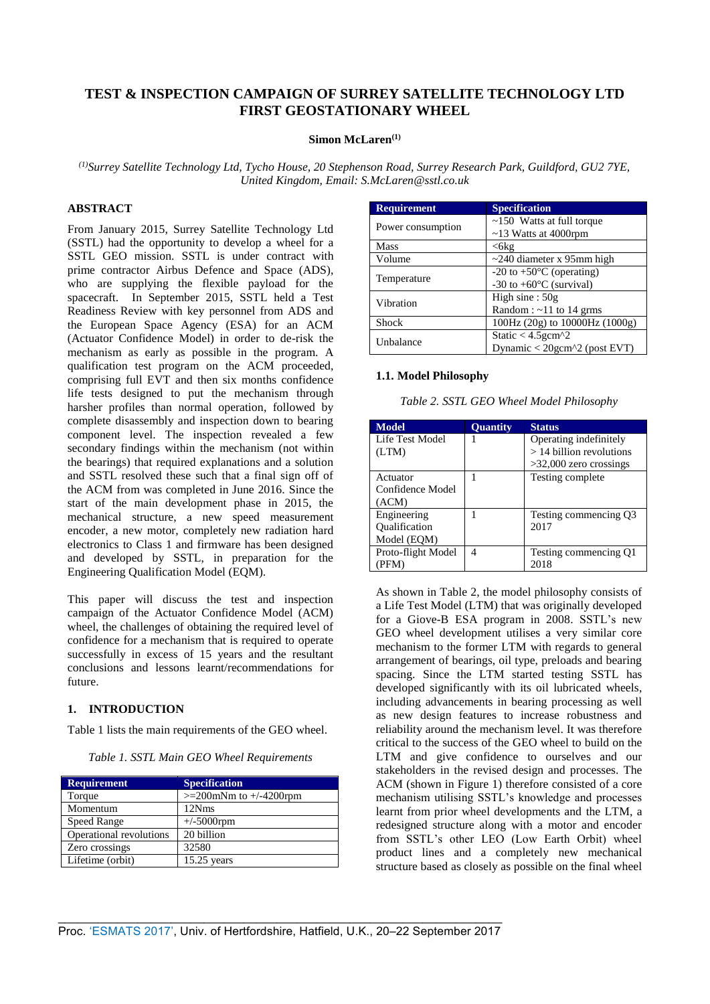# **TEST & INSPECTION CAMPAIGN OF SURREY SATELLITE TECHNOLOGY LTD FIRST GEOSTATIONARY WHEEL**

### **Simon McLaren(1)**

*(1)Surrey Satellite Technology Ltd, Tycho House, 20 Stephenson Road, Surrey Research Park, Guildford, GU2 7YE, United Kingdom, Email: S.McLaren@sstl.co.uk* 

# **ABSTRACT**

From January 2015, Surrey Satellite Technology Ltd (SSTL) had the opportunity to develop a wheel for a SSTL GEO mission. SSTL is under contract with prime contractor Airbus Defence and Space (ADS), who are supplying the flexible payload for the spacecraft. In September 2015, SSTL held a Test Readiness Review with key personnel from ADS and the European Space Agency (ESA) for an ACM (Actuator Confidence Model) in order to de-risk the mechanism as early as possible in the program. A qualification test program on the ACM proceeded, comprising full EVT and then six months confidence life tests designed to put the mechanism through harsher profiles than normal operation, followed by complete disassembly and inspection down to bearing component level. The inspection revealed a few secondary findings within the mechanism (not within the bearings) that required explanations and a solution and SSTL resolved these such that a final sign off of the ACM from was completed in June 2016. Since the start of the main development phase in 2015, the mechanical structure, a new speed measurement encoder, a new motor, completely new radiation hard electronics to Class 1 and firmware has been designed and developed by SSTL, in preparation for the Engineering Qualification Model (EQM).

This paper will discuss the test and inspection campaign of the Actuator Confidence Model (ACM) wheel, the challenges of obtaining the required level of confidence for a mechanism that is required to operate successfully in excess of 15 years and the resultant conclusions and lessons learnt/recommendations for future.

# **1. INTRODUCTION**

[Table 1](#page-0-0) lists the main requirements of the GEO wheel.

*Table 1. SSTL Main GEO Wheel Requirements*

<span id="page-0-0"></span>

| <b>Requirement</b>      | <b>Specification</b>         |
|-------------------------|------------------------------|
| Torque                  | $>=200$ mNm to $+/-4200$ rpm |
| Momentum                | 12Nm <sub>S</sub>            |
| Speed Range             | $+/-5000$ rpm                |
| Operational revolutions | 20 billion                   |
| Zero crossings          | 32580                        |
| Lifetime (orbit)        | $15.25$ years                |

| <b>Requirement</b> | <b>Specification</b>                 |
|--------------------|--------------------------------------|
| Power consumption  | $\sim$ 150 Watts at full torque      |
|                    | $\sim$ 13 Watts at 4000rpm           |
| <b>Mass</b>        | $<$ 6 $k$ g                          |
| Volume             | $\sim$ 240 diameter x 95mm high      |
| Temperature        | $-20$ to $+50^{\circ}$ C (operating) |
|                    | -30 to $+60^{\circ}$ C (survival)    |
| Vibration          | High sine : $50g$                    |
|                    | Random: $\sim$ 11 to 14 grms         |
| <b>Shock</b>       | 100Hz (20g) to 10000Hz (1000g)       |
| Unbalance          | Static $<$ 4.5 gcm $^2$              |
|                    | Dynamic < 20gcm^2 (post EVT)         |

# **1.1. Model Philosophy**

<span id="page-0-1"></span>

| Table 2. SSTL GEO Wheel Model Philosophy |  |  |
|------------------------------------------|--|--|
|------------------------------------------|--|--|

| <b>Model</b>         | <b>Ouantity</b> | <b>Status</b>              |
|----------------------|-----------------|----------------------------|
| Life Test Model      |                 | Operating indefinitely     |
| (LTM)                |                 | $>$ 14 billion revolutions |
|                      |                 | $>32,000$ zero crossings   |
| Actuator             |                 | Testing complete           |
| Confidence Model     |                 |                            |
| (ACM)                |                 |                            |
| Engineering          |                 | Testing commencing Q3      |
| <b>Qualification</b> |                 | 2017                       |
| Model (EQM)          |                 |                            |
| Proto-flight Model   | 4               | Testing commencing Q1      |
| (PFM)                |                 | 2018                       |

As shown in [Table 2,](#page-0-1) the model philosophy consists of a Life Test Model (LTM) that was originally developed for a Giove-B ESA program in 2008. SSTL's new GEO wheel development utilises a very similar core mechanism to the former LTM with regards to general arrangement of bearings, oil type, preloads and bearing spacing. Since the LTM started testing SSTL has developed significantly with its oil lubricated wheels, including advancements in bearing processing as well as new design features to increase robustness and reliability around the mechanism level. It was therefore critical to the success of the GEO wheel to build on the LTM and give confidence to ourselves and our stakeholders in the revised design and processes. The ACM (shown in [Figure 1\)](#page-1-0) therefore consisted of a core mechanism utilising SSTL's knowledge and processes learnt from prior wheel developments and the LTM, a redesigned structure along with a motor and encoder from SSTL's other LEO (Low Earth Orbit) wheel product lines and a completely new mechanical structure based as closely as possible on the final wheel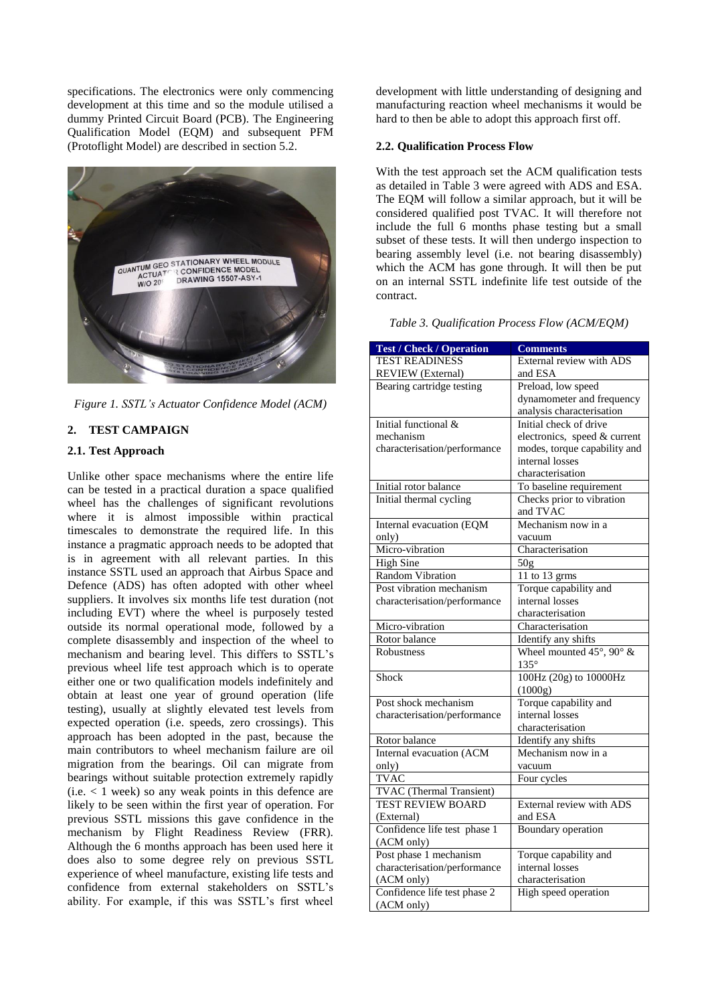specifications. The electronics were only commencing development at this time and so the module utilised a dummy Printed Circuit Board (PCB). The Engineering Qualification Model (EQM) and subsequent PFM (Protoflight Model) are described in section [5.2.](#page-7-0)



*Figure 1. SSTL's Actuator Confidence Model (ACM)*

# <span id="page-1-0"></span>**2. TEST CAMPAIGN**

## **2.1. Test Approach**

Unlike other space mechanisms where the entire life can be tested in a practical duration a space qualified wheel has the challenges of significant revolutions where it is almost impossible within practical timescales to demonstrate the required life. In this instance a pragmatic approach needs to be adopted that is in agreement with all relevant parties. In this instance SSTL used an approach that Airbus Space and Defence (ADS) has often adopted with other wheel suppliers. It involves six months life test duration (not including EVT) where the wheel is purposely tested outside its normal operational mode, followed by a complete disassembly and inspection of the wheel to mechanism and bearing level. This differs to SSTL's previous wheel life test approach which is to operate either one or two qualification models indefinitely and obtain at least one year of ground operation (life testing), usually at slightly elevated test levels from expected operation (i.e. speeds, zero crossings). This approach has been adopted in the past, because the main contributors to wheel mechanism failure are oil migration from the bearings. Oil can migrate from bearings without suitable protection extremely rapidly  $(i.e. < 1$  week) so any weak points in this defence are likely to be seen within the first year of operation. For previous SSTL missions this gave confidence in the mechanism by Flight Readiness Review (FRR). Although the 6 months approach has been used here it does also to some degree rely on previous SSTL experience of wheel manufacture, existing life tests and confidence from external stakeholders on SSTL's ability. For example, if this was SSTL's first wheel

development with little understanding of designing and manufacturing reaction wheel mechanisms it would be hard to then be able to adopt this approach first off.

#### **2.2. Qualification Process Flow**

With the test approach set the ACM qualification tests as detailed in [Table 3](#page-1-1) were agreed with ADS and ESA. The EQM will follow a similar approach, but it will be considered qualified post TVAC. It will therefore not include the full 6 months phase testing but a small subset of these tests. It will then undergo inspection to bearing assembly level (i.e. not bearing disassembly) which the ACM has gone through. It will then be put on an internal SSTL indefinite life test outside of the contract.

<span id="page-1-1"></span>*Table 3. Qualification Process Flow (ACM/EQM)*

| <b>Test / Check / Operation</b> | <b>Comments</b>                         |
|---------------------------------|-----------------------------------------|
| <b>TEST READINESS</b>           | External review with ADS                |
| <b>REVIEW</b> (External)        | and ESA                                 |
| Bearing cartridge testing       | Preload, low speed                      |
|                                 | dynamometer and frequency               |
|                                 | analysis characterisation               |
| Initial functional &            | Initial check of drive                  |
| mechanism                       | electronics, speed & current            |
| characterisation/performance    | modes, torque capability and            |
|                                 | internal losses                         |
|                                 | characterisation                        |
| Initial rotor balance           | To baseline requirement                 |
| Initial thermal cycling         | Checks prior to vibration               |
|                                 | and TVAC                                |
| Internal evacuation (EQM        | Mechanism now in a                      |
| only)                           | vacuum                                  |
| Micro-vibration                 | Characterisation                        |
| <b>High Sine</b>                | 50 <sub>g</sub>                         |
| <b>Random Vibration</b>         | 11 to 13 grms                           |
| Post vibration mechanism        | Torque capability and                   |
| characterisation/performance    | internal losses                         |
|                                 | characterisation                        |
| Micro-vibration                 | Characterisation                        |
| Rotor balance                   | Identify any shifts                     |
| <b>Robustness</b>               | Wheel mounted $45^\circ$ , $90^\circ$ & |
|                                 | $135^\circ$                             |
| Shock                           | 100Hz (20g) to 10000Hz                  |
|                                 | (1000g)                                 |
| Post shock mechanism            | Torque capability and                   |
| characterisation/performance    | internal losses                         |
|                                 | characterisation                        |
| Rotor balance                   | Identify any shifts                     |
| <b>Internal evacuation (ACM</b> | Mechanism now in a                      |
| only)                           | vacuum                                  |
| <b>TVAC</b>                     | Four cycles                             |
| TVAC (Thermal Transient)        |                                         |
| <b>TEST REVIEW BOARD</b>        | External review with ADS                |
| (External)                      | and ESA                                 |
| Confidence life test phase 1    | <b>Boundary</b> operation               |
| (ACM only)                      |                                         |
| Post phase 1 mechanism          | Torque capability and                   |
| characterisation/performance    | internal losses                         |
| (ACM only)                      | characterisation                        |
| Confidence life test phase 2    | High speed operation                    |
| (ACM only)                      |                                         |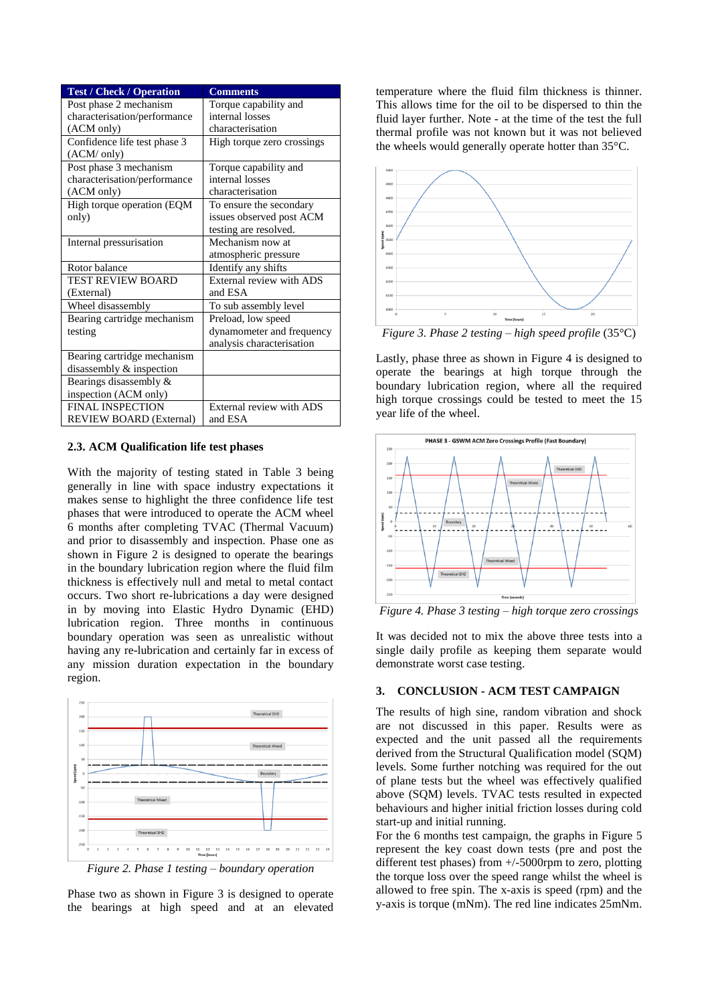| <b>Test / Check / Operation</b> | <b>Comments</b>            |
|---------------------------------|----------------------------|
| Post phase 2 mechanism          | Torque capability and      |
| characterisation/performance    | internal losses            |
| (ACM only)                      | characterisation           |
| Confidence life test phase 3    | High torque zero crossings |
| (ACM/ only)                     |                            |
| Post phase 3 mechanism          | Torque capability and      |
| characterisation/performance    | internal losses            |
| (ACM only)                      | characterisation           |
| High torque operation (EQM      | To ensure the secondary    |
| only)                           | issues observed post ACM   |
|                                 | testing are resolved.      |
| Internal pressurisation         | Mechanism now at           |
|                                 | atmospheric pressure       |
| Rotor balance                   | Identify any shifts        |
| <b>TEST REVIEW BOARD</b>        | External review with ADS   |
| (External)                      | and ESA                    |
| Wheel disassembly               | To sub assembly level      |
| Bearing cartridge mechanism     | Preload, low speed         |
| testing                         | dynamometer and frequency  |
|                                 | analysis characterisation  |
| Bearing cartridge mechanism     |                            |
| disassembly & inspection        |                            |
| Bearings disassembly &          |                            |
| inspection (ACM only)           |                            |
| <b>FINAL INSPECTION</b>         | External review with ADS   |
| <b>REVIEW BOARD (External)</b>  | and ESA                    |

#### **2.3. ACM Qualification life test phases**

With the majority of testing stated in [Table 3](#page-1-1) being generally in line with space industry expectations it makes sense to highlight the three confidence life test phases that were introduced to operate the ACM wheel 6 months after completing TVAC (Thermal Vacuum) and prior to disassembly and inspection. Phase one as shown in [Figure 2](#page-2-0) is designed to operate the bearings in the boundary lubrication region where the fluid film thickness is effectively null and metal to metal contact occurs. Two short re-lubrications a day were designed in by moving into Elastic Hydro Dynamic (EHD) lubrication region. Three months in continuous boundary operation was seen as unrealistic without having any re-lubrication and certainly far in excess of any mission duration expectation in the boundary region.



<span id="page-2-0"></span>*Figure 2. Phase 1 testing – boundary operation*

Phase two as shown in [Figure 3](#page-2-1) is designed to operate the bearings at high speed and at an elevated

temperature where the fluid film thickness is thinner. This allows time for the oil to be dispersed to thin the fluid layer further. Note - at the time of the test the full thermal profile was not known but it was not believed the wheels would generally operate hotter than 35°C.



<span id="page-2-1"></span>*Figure 3. Phase 2 testing – high speed profile* (35°C)

Lastly, phase three as shown in [Figure 4](#page-2-2) is designed to operate the bearings at high torque through the boundary lubrication region, where all the required high torque crossings could be tested to meet the 15 year life of the wheel.



<span id="page-2-2"></span>*Figure 4. Phase 3 testing – high torque zero crossings*

It was decided not to mix the above three tests into a single daily profile as keeping them separate would demonstrate worst case testing.

# **3. CONCLUSION - ACM TEST CAMPAIGN**

The results of high sine, random vibration and shock are not discussed in this paper. Results were as expected and the unit passed all the requirements derived from the Structural Qualification model (SQM) levels. Some further notching was required for the out of plane tests but the wheel was effectively qualified above (SQM) levels. TVAC tests resulted in expected behaviours and higher initial friction losses during cold start-up and initial running.

For the 6 months test campaign, the graphs in [Figure 5](#page-3-0) represent the key coast down tests (pre and post the different test phases) from +/-5000rpm to zero, plotting the torque loss over the speed range whilst the wheel is allowed to free spin. The x-axis is speed (rpm) and the y-axis is torque (mNm). The red line indicates 25mNm.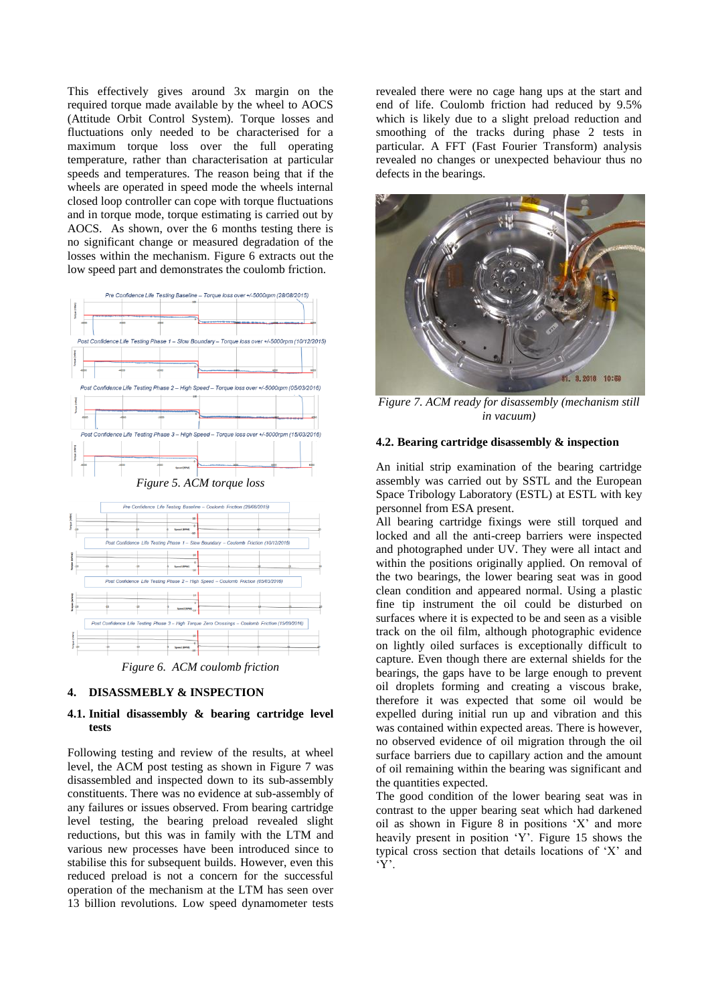This effectively gives around 3x margin on the required torque made available by the wheel to AOCS (Attitude Orbit Control System). Torque losses and fluctuations only needed to be characterised for a maximum torque loss over the full operating temperature, rather than characterisation at particular speeds and temperatures. The reason being that if the wheels are operated in speed mode the wheels internal closed loop controller can cope with torque fluctuations and in torque mode, torque estimating is carried out by AOCS. As shown, over the 6 months testing there is no significant change or measured degradation of the losses within the mechanism. [Figure 6](#page-3-1) extracts out the low speed part and demonstrates the coulomb friction.

<span id="page-3-0"></span>

*Figure 6. ACM coulomb friction*

### <span id="page-3-1"></span>**4. DISASSMEBLY & INSPECTION**

#### **4.1. Initial disassembly & bearing cartridge level tests**

Following testing and review of the results, at wheel level, the ACM post testing as shown in [Figure 7](#page-3-2) was disassembled and inspected down to its sub-assembly constituents. There was no evidence at sub-assembly of any failures or issues observed. From bearing cartridge level testing, the bearing preload revealed slight reductions, but this was in family with the LTM and various new processes have been introduced since to stabilise this for subsequent builds. However, even this reduced preload is not a concern for the successful operation of the mechanism at the LTM has seen over 13 billion revolutions. Low speed dynamometer tests

revealed there were no cage hang ups at the start and end of life. Coulomb friction had reduced by 9.5% which is likely due to a slight preload reduction and smoothing of the tracks during phase 2 tests in particular. A FFT (Fast Fourier Transform) analysis revealed no changes or unexpected behaviour thus no defects in the bearings.



<span id="page-3-2"></span>*Figure 7. ACM ready for disassembly (mechanism still in vacuum)*

### **4.2. Bearing cartridge disassembly & inspection**

An initial strip examination of the bearing cartridge assembly was carried out by SSTL and the European Space Tribology Laboratory (ESTL) at ESTL with key personnel from ESA present.

All bearing cartridge fixings were still torqued and locked and all the anti-creep barriers were inspected and photographed under UV. They were all intact and within the positions originally applied. On removal of the two bearings, the lower bearing seat was in good clean condition and appeared normal. Using a plastic fine tip instrument the oil could be disturbed on surfaces where it is expected to be and seen as a visible track on the oil film, although photographic evidence on lightly oiled surfaces is exceptionally difficult to capture. Even though there are external shields for the bearings, the gaps have to be large enough to prevent oil droplets forming and creating a viscous brake, therefore it was expected that some oil would be expelled during initial run up and vibration and this was contained within expected areas. There is however, no observed evidence of oil migration through the oil surface barriers due to capillary action and the amount of oil remaining within the bearing was significant and the quantities expected.

The good condition of the lower bearing seat was in contrast to the upper bearing seat which had darkened oil as shown in [Figure 8](#page-4-0) in positions 'X' and more heavily present in position 'Y'. [Figure 15](#page-5-0) shows the typical cross section that details locations of 'X' and 'Y'.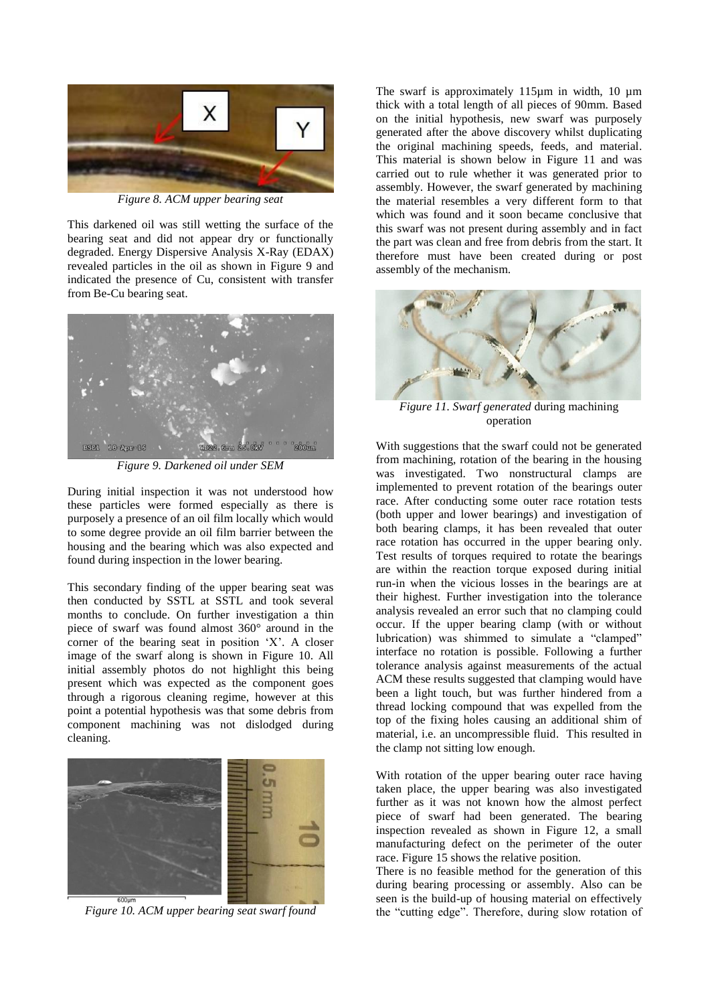

*Figure 8. ACM upper bearing seat*

<span id="page-4-0"></span>This darkened oil was still wetting the surface of the bearing seat and did not appear dry or functionally degraded. Energy Dispersive Analysis X-Ray (EDAX) revealed particles in the oil as shown in [Figure 9](#page-4-1) and indicated the presence of Cu, consistent with transfer from Be-Cu bearing seat.



*Figure 9. Darkened oil under SEM*

<span id="page-4-1"></span>During initial inspection it was not understood how these particles were formed especially as there is purposely a presence of an oil film locally which would to some degree provide an oil film barrier between the housing and the bearing which was also expected and found during inspection in the lower bearing.

This secondary finding of the upper bearing seat was then conducted by SSTL at SSTL and took several months to conclude. On further investigation a thin piece of swarf was found almost 360° around in the corner of the bearing seat in position 'X'. A closer image of the swarf along is shown in [Figure 10.](#page-4-2) All initial assembly photos do not highlight this being present which was expected as the component goes through a rigorous cleaning regime, however at this point a potential hypothesis was that some debris from component machining was not dislodged during cleaning.

<span id="page-4-2"></span>

*Figure 10. ACM upper bearing seat swarf found*

The swarf is approximately 115um in width, 10 um thick with a total length of all pieces of 90mm. Based on the initial hypothesis, new swarf was purposely generated after the above discovery whilst duplicating the original machining speeds, feeds, and material. This material is shown below in [Figure 11](#page-4-3) and was carried out to rule whether it was generated prior to assembly. However, the swarf generated by machining the material resembles a very different form to that which was found and it soon became conclusive that this swarf was not present during assembly and in fact the part was clean and free from debris from the start. It therefore must have been created during or post assembly of the mechanism.



<span id="page-4-3"></span>*Figure 11. Swarf generated* during machining operation

With suggestions that the swarf could not be generated from machining, rotation of the bearing in the housing was investigated. Two nonstructural clamps are implemented to prevent rotation of the bearings outer race. After conducting some outer race rotation tests (both upper and lower bearings) and investigation of both bearing clamps, it has been revealed that outer race rotation has occurred in the upper bearing only. Test results of torques required to rotate the bearings are within the reaction torque exposed during initial run-in when the vicious losses in the bearings are at their highest. Further investigation into the tolerance analysis revealed an error such that no clamping could occur. If the upper bearing clamp (with or without lubrication) was shimmed to simulate a "clamped" interface no rotation is possible. Following a further tolerance analysis against measurements of the actual ACM these results suggested that clamping would have been a light touch, but was further hindered from a thread locking compound that was expelled from the top of the fixing holes causing an additional shim of material, i.e. an uncompressible fluid. This resulted in the clamp not sitting low enough.

With rotation of the upper bearing outer race having taken place, the upper bearing was also investigated further as it was not known how the almost perfect piece of swarf had been generated. The bearing inspection revealed as shown in [Figure 12,](#page-5-1) a small manufacturing defect on the perimeter of the outer race. [Figure 15](#page-5-0) shows the relative position.

There is no feasible method for the generation of this during bearing processing or assembly. Also can be seen is the build-up of housing material on effectively the "cutting edge". Therefore, during slow rotation of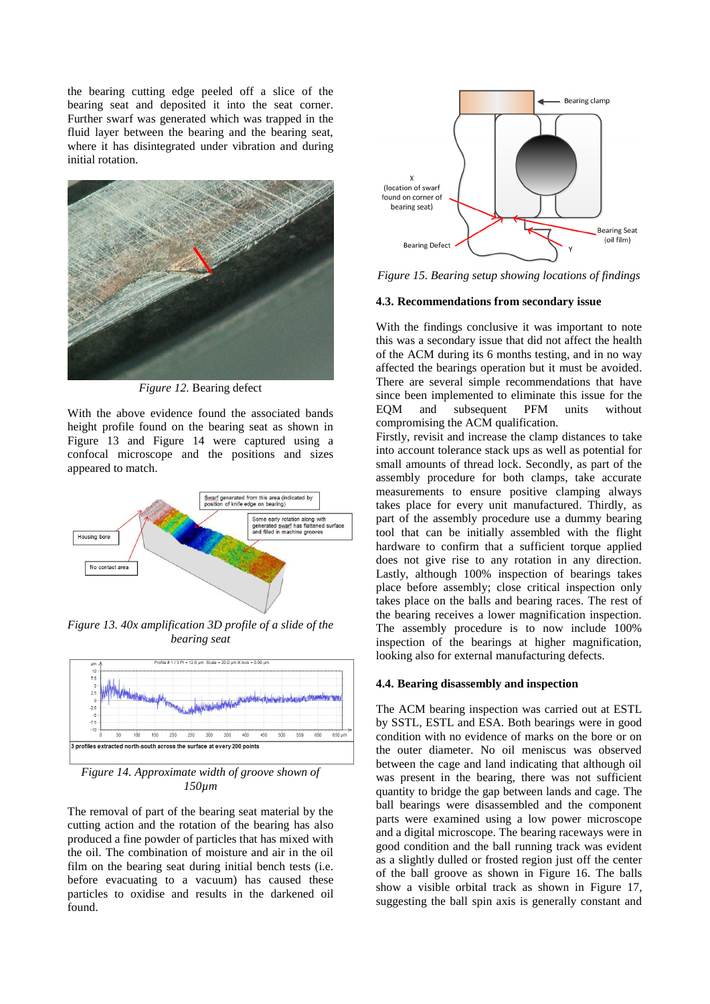the bearing cutting edge peeled off a slice of the bearing seat and deposited it into the seat corner. Further swarf was generated which was trapped in the fluid layer between the bearing and the bearing seat, where it has disintegrated under vibration and during initial rotation.



*Figure 12.* Bearing defect

<span id="page-5-1"></span>With the above evidence found the associated bands height profile found on the bearing seat as shown in [Figure 13](#page-5-2) and [Figure 14](#page-5-3) were captured using a confocal microscope and the positions and sizes appeared to match.



<span id="page-5-2"></span>*Figure 13. 40x amplification 3D profile of a slide of the bearing seat*



<span id="page-5-3"></span>*Figure 14. Approximate width of groove shown of 150µm*

The removal of part of the bearing seat material by the cutting action and the rotation of the bearing has also produced a fine powder of particles that has mixed with the oil. The combination of moisture and air in the oil film on the bearing seat during initial bench tests (i.e. before evacuating to a vacuum) has caused these particles to oxidise and results in the darkened oil found.



<span id="page-5-0"></span>*Figure 15. Bearing setup showing locations of findings*

#### **4.3. Recommendations from secondary issue**

With the findings conclusive it was important to note this was a secondary issue that did not affect the health of the ACM during its 6 months testing, and in no way affected the bearings operation but it must be avoided. There are several simple recommendations that have since been implemented to eliminate this issue for the EQM and subsequent PFM units without compromising the ACM qualification.

Firstly, revisit and increase the clamp distances to take into account tolerance stack ups as well as potential for small amounts of thread lock. Secondly, as part of the assembly procedure for both clamps, take accurate measurements to ensure positive clamping always takes place for every unit manufactured. Thirdly, as part of the assembly procedure use a dummy bearing tool that can be initially assembled with the flight hardware to confirm that a sufficient torque applied does not give rise to any rotation in any direction. Lastly, although 100% inspection of bearings takes place before assembly; close critical inspection only takes place on the balls and bearing races. The rest of the bearing receives a lower magnification inspection. The assembly procedure is to now include 100% inspection of the bearings at higher magnification, looking also for external manufacturing defects.

### **4.4. Bearing disassembly and inspection**

The ACM bearing inspection was carried out at ESTL by SSTL, ESTL and ESA. Both bearings were in good condition with no evidence of marks on the bore or on the outer diameter. No oil meniscus was observed between the cage and land indicating that although oil was present in the bearing, there was not sufficient quantity to bridge the gap between lands and cage. The ball bearings were disassembled and the component parts were examined using a low power microscope and a digital microscope. The bearing raceways were in good condition and the ball running track was evident as a slightly dulled or frosted region just off the center of the ball groove as shown in [Figure 16.](#page-6-0) The balls show a visible orbital track as shown in [Figure 17,](#page-6-1) suggesting the ball spin axis is generally constant and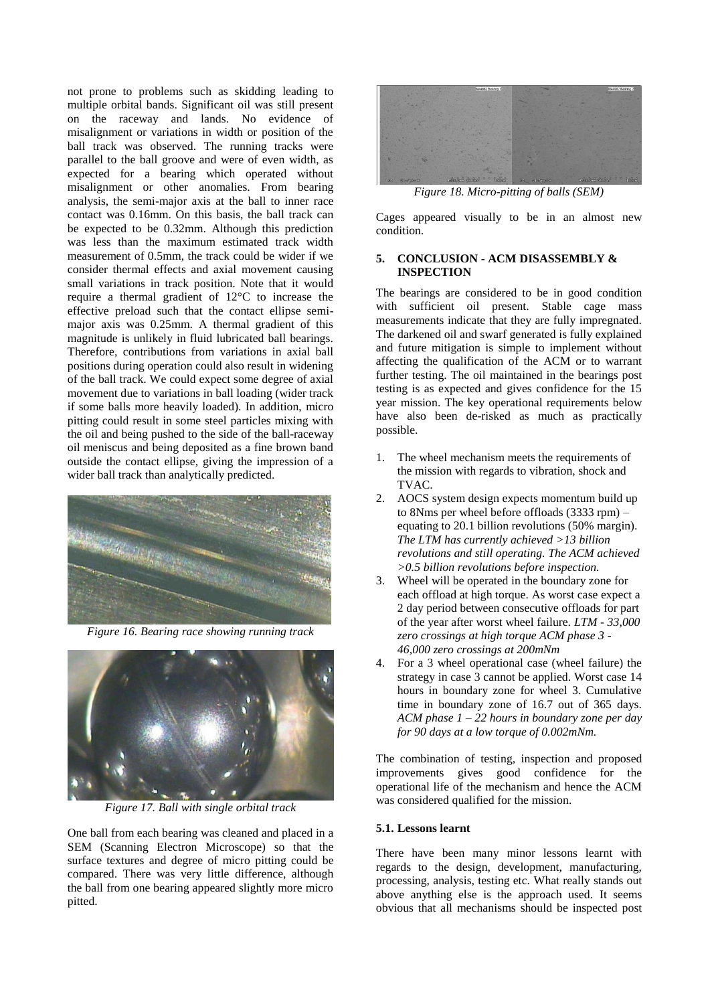not prone to problems such as skidding leading to multiple orbital bands. Significant oil was still present on the raceway and lands. No evidence of misalignment or variations in width or position of the ball track was observed. The running tracks were parallel to the ball groove and were of even width, as expected for a bearing which operated without misalignment or other anomalies. From bearing analysis, the semi-major axis at the ball to inner race contact was 0.16mm. On this basis, the ball track can be expected to be 0.32mm. Although this prediction was less than the maximum estimated track width measurement of 0.5mm, the track could be wider if we consider thermal effects and axial movement causing small variations in track position. Note that it would require a thermal gradient of 12°C to increase the effective preload such that the contact ellipse semimajor axis was 0.25mm. A thermal gradient of this magnitude is unlikely in fluid lubricated ball bearings. Therefore, contributions from variations in axial ball positions during operation could also result in widening of the ball track. We could expect some degree of axial movement due to variations in ball loading (wider track if some balls more heavily loaded). In addition, micro pitting could result in some steel particles mixing with the oil and being pushed to the side of the ball-raceway oil meniscus and being deposited as a fine brown band outside the contact ellipse, giving the impression of a wider ball track than analytically predicted.



*Figure 16. Bearing race showing running track*

<span id="page-6-0"></span>

*Figure 17. Ball with single orbital track*

<span id="page-6-1"></span>One ball from each bearing was cleaned and placed in a SEM (Scanning Electron Microscope) so that the surface textures and degree of micro pitting could be compared. There was very little difference, although the ball from one bearing appeared slightly more micro pitted.



*Figure 18. Micro-pitting of balls (SEM)*

Cages appeared visually to be in an almost new condition.

## **5. CONCLUSION - ACM DISASSEMBLY & INSPECTION**

The bearings are considered to be in good condition with sufficient oil present. Stable cage mass measurements indicate that they are fully impregnated. The darkened oil and swarf generated is fully explained and future mitigation is simple to implement without affecting the qualification of the ACM or to warrant further testing. The oil maintained in the bearings post testing is as expected and gives confidence for the 15 year mission. The key operational requirements below have also been de-risked as much as practically possible.

- 1. The wheel mechanism meets the requirements of the mission with regards to vibration, shock and TVAC.
- 2. AOCS system design expects momentum build up to 8Nms per wheel before offloads (3333 rpm) – equating to 20.1 billion revolutions (50% margin). *The LTM has currently achieved >13 billion revolutions and still operating. The ACM achieved >0.5 billion revolutions before inspection.*
- 3. Wheel will be operated in the boundary zone for each offload at high torque. As worst case expect a 2 day period between consecutive offloads for part of the year after worst wheel failure. *LTM - 33,000 zero crossings at high torque ACM phase 3 - 46,000 zero crossings at 200mNm*
- 4. For a 3 wheel operational case (wheel failure) the strategy in case 3 cannot be applied. Worst case 14 hours in boundary zone for wheel 3. Cumulative time in boundary zone of 16.7 out of 365 days. *ACM phase 1 – 22 hours in boundary zone per day for 90 days at a low torque of 0.002mNm.*

The combination of testing, inspection and proposed improvements gives good confidence for the operational life of the mechanism and hence the ACM was considered qualified for the mission.

# **5.1. Lessons learnt**

There have been many minor lessons learnt with regards to the design, development, manufacturing, processing, analysis, testing etc. What really stands out above anything else is the approach used. It seems obvious that all mechanisms should be inspected post